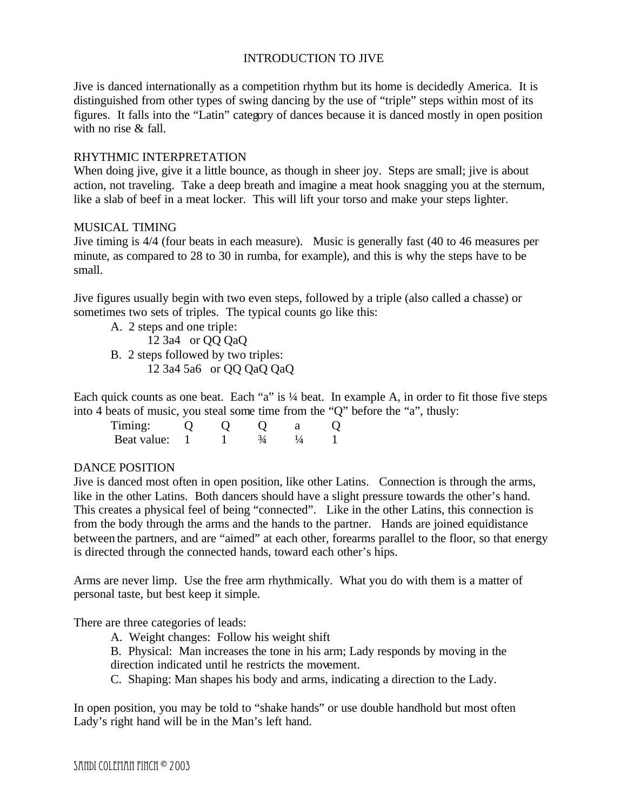# INTRODUCTION TO JIVE

Jive is danced internationally as a competition rhythm but its home is decidedly America. It is distinguished from other types of swing dancing by the use of "triple" steps within most of its figures. It falls into the "Latin" category of dances because it is danced mostly in open position with no rise & fall.

#### RHYTHMIC INTERPRETATION

When doing jive, give it a little bounce, as though in sheer joy. Steps are small; jive is about action, not traveling. Take a deep breath and imagine a meat hook snagging you at the sternum, like a slab of beef in a meat locker. This will lift your torso and make your steps lighter.

#### MUSICAL TIMING

Jive timing is 4/4 (four beats in each measure). Music is generally fast (40 to 46 measures per minute, as compared to 28 to 30 in rumba, for example), and this is why the steps have to be small.

Jive figures usually begin with two even steps, followed by a triple (also called a chasse) or sometimes two sets of triples. The typical counts go like this:

- A. 2 steps and one triple:
	- $12$  3a4 or QQ QaQ
- B. 2 steps followed by two triples: 12 3a4 5a6 or QQ QaQ QaQ

Each quick counts as one beat. Each "a" is 1/4 beat. In example A, in order to fit those five steps into 4 beats of music, you steal some time from the "Q" before the "a", thusly:

| l'imino:    |  |  |  |
|-------------|--|--|--|
| Beat value: |  |  |  |

## DANCE POSITION

Jive is danced most often in open position, like other Latins. Connection is through the arms, like in the other Latins. Both dancers should have a slight pressure towards the other's hand. This creates a physical feel of being "connected". Like in the other Latins, this connection is from the body through the arms and the hands to the partner. Hands are joined equidistance between the partners, and are "aimed" at each other, forearms parallel to the floor, so that energy is directed through the connected hands, toward each other's hips.

Arms are never limp. Use the free arm rhythmically. What you do with them is a matter of personal taste, but best keep it simple.

There are three categories of leads:

- A. Weight changes: Follow his weight shift
- B. Physical: Man increases the tone in his arm; Lady responds by moving in the direction indicated until he restricts the movement.
- C. Shaping: Man shapes his body and arms, indicating a direction to the Lady.

In open position, you may be told to "shake hands" or use double handhold but most often Lady's right hand will be in the Man's left hand.